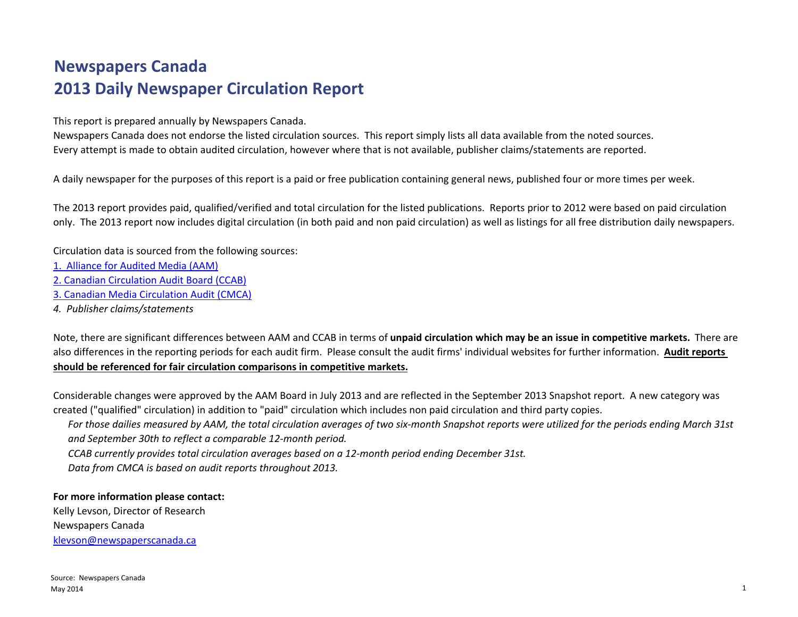# **Newspapers Canada 2013 Daily Newspaper Circulation Report**

This report is prepared annually by Newspapers Canada.

Newspapers Canada does not endorse the listed circulation sources. This report simply lists all data available from the noted sources. Every attempt is made to obtain audited circulation, however where that is not available, publisher claims/statements are reported.

A daily newspaper for the purposes of this report is <sup>a</sup> paid or free publication containing general news, published four or more times per week.

The 2013 report provides paid, qualified/verified and total circulation for the listed publications. Reports prior to 2012 were based on paid circulation only. The 2013 report now includes digital circulation (in both paid and non paid circulation) as well as listings for all free distribution daily newspapers.

Circulation data is sourced from the following sources:

- 1. Alliance for Audited Media (AAM)
- 2. Canadian Circulation Audit Board (CCAB)
- 3. Canadian Media Circulation Audit (CMCA)
- *4. Publisher claims/statements*

Note, there are significant differences between AAM and CCAB in terms of **unpaid circulation which may be an issue in competitive markets.** There are also differences in the reporting periods for each audit firm. Please consult the audit firms' individual websites for further information. **Audit reports should be referenced for fair circulation comparisons in competitive markets.**

Considerable changes were approved by the AAM Board in July 2013 and are reflected in the September 2013 Snapshot report. A new category was created ("qualified" circulation) in addition to "paid" circulation which includes non paid circulation and third party copies.

For those dailies measured by AAM, the total circulation averages of two six-month Snapshot reports were utilized for the periods ending March 31st *and September 30th to reflect <sup>a</sup> comparable 12‐month period.*

*CCAB currently provides total circulation averages based on <sup>a</sup> 12‐month period ending December 31st.*

*Data from CMCA is based on audit reports throughout 2013.*

## **For more information please contact:**

Kelly Levson, Director of Research Newspapers Canada klevson@newspaperscanada.ca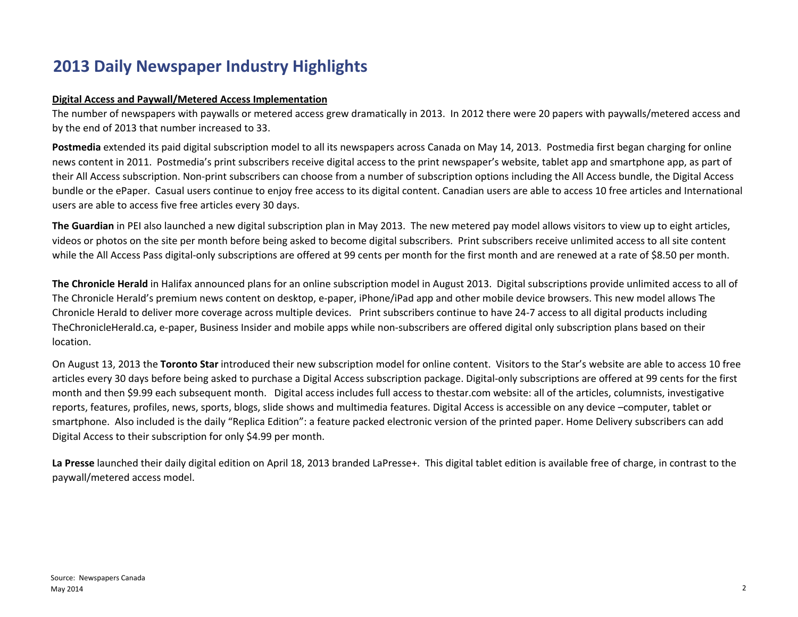# **2013 Daily Newspaper Industry Highlights**

## **Digital Access and Paywall/Metered Access Implementation**

The number of newspapers with paywalls or metered access grew dramatically in 2013. In 2012 there were 20 papers with paywalls/metered access and by the end of 2013 that number increased to 33.

**Postmedia** extended its paid digital subscription model to all its newspapers across Canada on May 14, 2013. Postmedia first began charging for online news content in 2011. Postmedia's print subscribers receive digital access to the print newspaper's website, tablet app and smartphone app, as part of their All Access subscription. Non‐print subscribers can choose from <sup>a</sup> number of subscription options including the All Access bundle, the Digital Access bundle or the ePaper. Casual users continue to enjoy free access to its digital content. Canadian users are able to access 10 free articles and International users are able to access five free articles every 30 days.

**The Guardian** in PEI also launched <sup>a</sup> new digital subscription plan in May 2013. The new metered pay model allows visitors to view up to eight articles, videos or photos on the site per month before being asked to become digital subscribers. Print subscribers receive unlimited access to all site content while the All Access Pass digital-only subscriptions are offered at 99 cents per month for the first month and are renewed at a rate of \$8.50 per month.

**The Chronicle Herald** in Halifax announced plans for an online subscription model in August 2013. Digital subscriptions provide unlimited access to all of The Chronicle Herald's premium news content on desktop, <sup>e</sup>‐paper, iPhone/iPad app and other mobile device browsers. This new model allows The Chronicle Herald to deliver more coverage across multiple devices. Print subscribers continue to have 24‐7 access to all digital products including TheChronicleHerald.ca, <sup>e</sup>‐paper, Business Insider and mobile apps while non‐subscribers are offered digital only subscription plans based on their location.

On August 13, 2013 the **Toronto Star** introduced their new subscription model for online content. Visitors to the Star's website are able to access 10 free articles every 30 days before being asked to purchase <sup>a</sup> Digital Access subscription package. Digital‐only subscriptions are offered at 99 cents for the first month and then \$9.99 each subsequent month. Digital access includes full access to thestar.com website: all of the articles, columnists, investigative reports, features, profiles, news, sports, blogs, slide shows and multimedia features. Digital Access is accessible on any device –computer, tablet or smartphone. Also included is the daily "Replica Edition": <sup>a</sup> feature packed electronic version of the printed paper. Home Delivery subscribers can add Digital Access to their subscription for only \$4.99 per month.

**La Presse** launched their daily digital edition on April 18, 2013 branded LaPresse+. This digital tablet edition is available free of charge, in contrast to the paywall/metered access model.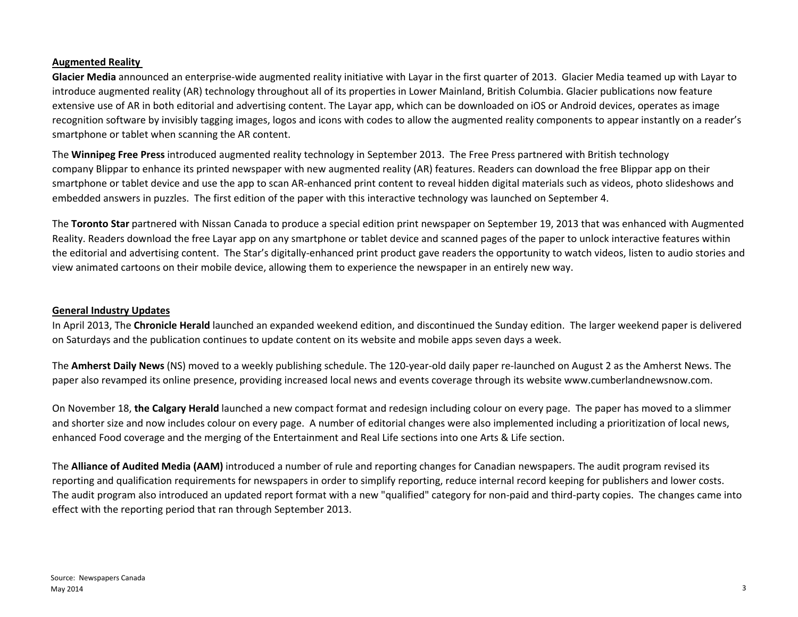### **Augmented Reality**

**Glacier Media** announced an enterprise‐wide augmented reality initiative with Layar in the first quarter of 2013. Glacier Media teamed up with Layar to introduce augmented reality (AR) technology throughout all of its properties in Lower Mainland, British Columbia. Glacier publications now feature extensive use of AR in both editorial and advertising content. The Layar app, which can be downloaded on iOS or Android devices, operates as image recognition software by invisibly tagging images, logos and icons with codes to allow the augmented reality components to appear instantly on <sup>a</sup> reader's smartphone or tablet when scanning the AR content.

The **Winnipeg Free Press** introduced augmented reality technology in September 2013. The Free Press partnered with British technology company Blippar to enhance its printed newspaper with new augmented reality (AR) features. Readers can download the free Blippar app on their smartphone or tablet device and use the app to scan AR‐enhanced print content to reveal hidden digital materials such as videos, photo slideshows and embedded answers in puzzles. The first edition of the paper with this interactive technology was launched on September 4.

The **Toronto Star** partnered with Nissan Canada to produce <sup>a</sup> special edition print newspaper on September 19, 2013 that was enhanced with Augmented Reality. Readers download the free Layar app on any smartphone or tablet device and scanned pages of the paper to unlock interactive features within the editorial and advertising content. The Star's digitally‐enhanced print product gave readers the opportunity to watch videos, listen to audio stories and view animated cartoons on their mobile device, allowing them to experience the newspaper in an entirely new way.

### **General Industry Updates**

In April 2013, The **Chronicle Herald** launched an expanded weekend edition, and discontinued the Sunday edition. The larger weekend paper is delivered on Saturdays and the publication continues to update content on its website and mobile apps seven days <sup>a</sup> week.

The **Amherst Daily News** (NS) moved to <sup>a</sup> weekly publishing schedule. The 120‐year‐old daily paper re‐launched on August 2 as the Amherst News. The paper also revamped its online presence, providing increased local news and events coverage through its website www.cumberlandnewsnow.com.

On November 18, **the Calgary Herald** launched <sup>a</sup> new compact format and redesign including colour on every page. The paper has moved to <sup>a</sup> slimmer and shorter size and now includes colour on every page. A number of editorial changes were also implemented including <sup>a</sup> prioritization of local news, enhanced Food coverage and the merging of the Entertainment and Real Life sections into one Arts & Life section.

The **Alliance of Audited Media (AAM)** introduced <sup>a</sup> number of rule and reporting changes for Canadian newspapers. The audit program revised its reporting and qualification requirements for newspapers in order to simplify reporting, reduce internal record keeping for publishers and lower costs. The audit program also introduced an updated report format with <sup>a</sup> new "qualified" category for non‐paid and third‐party copies. The changes came into effect with the reporting period that ran through September 2013.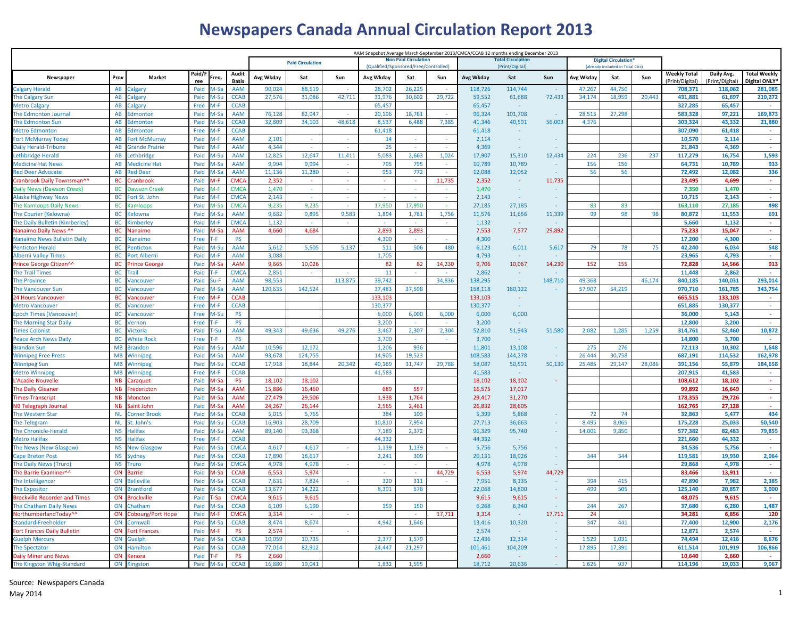# **Newspapers Canada Annual Circulation Report 2013**

| AAM Snapshot Average March-September 2013/CMCA/CCAB 12 months ending December 2013 |                        |                            |               |              |                       |                 |                         |         |              |                                      |        |                 |                        |         |           |                                  |        |                                        |                             |                                      |
|------------------------------------------------------------------------------------|------------------------|----------------------------|---------------|--------------|-----------------------|-----------------|-------------------------|---------|--------------|--------------------------------------|--------|-----------------|------------------------|---------|-----------|----------------------------------|--------|----------------------------------------|-----------------------------|--------------------------------------|
|                                                                                    |                        |                            |               |              |                       |                 | <b>Paid Circulation</b> |         |              | <b>Non Paid Circulation</b>          |        |                 | <b>Total Circulati</b> |         |           | <b>Digital Circulation'</b>      |        |                                        |                             |                                      |
|                                                                                    |                        |                            |               |              |                       |                 |                         |         |              | (Qualified/Sponsored/Free/Controlled |        |                 | (Print/Digital)        |         |           | (already included in Total Circ) |        |                                        |                             |                                      |
| Newspaper                                                                          | Prov                   | Market                     | Paid/F<br>ree | Freq         | Audit<br><b>Basis</b> | Avg Wkday       | Sat                     | Sun     | Avg Wkday    | Sat                                  | Sun    | Avg Wkday       | Sat                    | Sun     | Avg Wkday | Sat                              | Sun    | <b>Weekly Total</b><br>(Print/Digital) | Daily Avg.<br>Print/Digital | <b>Total Weekly</b><br>Digital ONLY* |
| Calgary Herald                                                                     | AB                     | algary                     | Paid          |              | AAM                   | 90,024          | 88,519                  |         | 28,702       | 26.225                               |        | 118,726         | 114.744                |         | 47,267    | 44.750                           |        | 708.371                                | 118,062                     | 281,085                              |
| The Calgary Sun                                                                    | AB                     | Calgary                    | Paid          | 1-Su         | <b>CCAB</b>           | 27,576          | 31,086                  | 42,711  | 31,976       | 30,602                               | 29,722 | 59,552          | 61,688                 | 72,433  | 34,174    | 18,959                           | 20,443 | 431,881                                | 61,697                      | 210,272                              |
| Metro Calgary                                                                      | AB                     | algary                     | Free          | 1-F          | <b>CCAB</b>           |                 |                         |         | 65,457       |                                      |        | 65,457          | $\sim$                 |         |           |                                  |        | 327,285                                | 65,457                      |                                      |
| The Edmonton Journal                                                               | AB                     | dmonton                    | Paid          | 1-Sa         | <b>AAM</b>            | 76,128          | 82,947                  |         | 20,196       | 18,761                               |        | 96,324          | 101,708                |         | 28,515    | 27,298                           |        | 583,328                                | 97,221                      | 169,873                              |
| The Edmonton Sun                                                                   | AB                     | dmonton                    | Paid          | -St          | <b>CCAB</b>           | 32,809          | 34,103                  | 48,618  | 8,537        | 6,488                                | 7,385  | 41,346          | 40,591                 | 56,003  | 4,376     |                                  |        | 303,324                                | 43,332                      | 21,880                               |
| <b>Metro Edmonton</b>                                                              | <b>AR</b>              | dmonton                    | Free          | $M-F$        | <b>CCAB</b>           |                 |                         |         | 61,418       |                                      |        | 61,418          | $\sim$                 |         |           |                                  |        | 307,090                                | 61,418                      | $\sim$                               |
| Fort McMurray Today                                                                | AB                     | ort McMurray               | Paid          | 1-F          | <b>AAM</b>            | 2,101           | $\sim$                  | $\sim$  | 14           | $\sim$                               | $\sim$ | 2,114           | $\sim$                 |         |           |                                  |        | 10,570                                 | 2,114                       | $\sim$                               |
| Daily Herald-Tribune                                                               | AB                     | <b>Srande Prairie</b>      | Paid          |              | <b>AAM</b>            | 4.344           |                         |         | 25           |                                      |        | 4,369           |                        |         |           |                                  |        | 21.843                                 | 4,369                       |                                      |
| ethbridge Herald.                                                                  | AB                     | .ethbridge                 | Paid          | 1-Su         | <b>AAM</b>            | 12,825          | 12,647                  | 11,411  | 5,083        | 2,663                                | 1,024  | 17,907          | 15,310                 | 12,434  | 224       | 236                              | 237    | 117,279                                | 16,754                      | 1,593                                |
| <b>Medicine Hat News</b>                                                           | AB                     | <b>Aedicine Hat</b>        | Paid          | -Sa          | <b>AAM</b>            | 9,994           | 9.994                   |         | 795          | 795                                  | ×.     | 10,789          | 10,789                 |         | 156       | 156                              |        | 64,731                                 | 10,789                      | 933                                  |
| <b>Red Deer Advocate</b>                                                           | AB                     | <b>led Deer</b>            | Paid          | 1-Si         | <b>AAM</b>            | 11,136          | 11,280                  |         | 953          | 772                                  |        | 12,088          | 12,052                 |         | 56        | 56                               |        | 72,492                                 | 12.082                      | 336                                  |
| Cranbrook Daily Townsman^^                                                         | <b>BC</b>              | ranbrook                   | Paid          | 4-F          | <b>CMCA</b>           | 2,352           | $\sim$                  | $\sim$  | $\sim$       | $\sim$                               | 11,735 | 2,352           | $\sim$                 | 11,735  |           |                                  |        | 23,495                                 | 4,699                       | $\sim$                               |
| Daily News (Dawson Creek)                                                          | <b>BC</b>              | <b>Jawson Creek</b>        | Paid          |              | <b>CMCA</b>           | 1,470           |                         |         |              |                                      |        | 1,470           |                        |         |           |                                  |        | 7,350                                  | 1,470                       | ä,                                   |
| Alaska Highway News                                                                | <b>BC</b>              | ort St. John               | Paid          | $M-F$        | <b>CMCA</b>           | 2,143           |                         |         |              |                                      |        | 2,143           | $\sim$                 |         |           |                                  |        | 10,715                                 | 2,143                       | $\sim$                               |
| The Kamloops Daily News                                                            | BC                     | amloops                    | Paid          | 1-Sa         | <b>CMCA</b>           | 9,235           | 9,235                   |         | 17,950       | 17,950                               | ÷.     | 27,185          | 27,185                 |         | 83        | 83                               |        | 163,110                                | 27,185                      | 498                                  |
| The Courier (Kelowna)                                                              | <b>BC</b>              | elowna                     | Paid          | $A-SI$       | <b>AAM</b>            | 9,682           | 9,895                   | 9,583   | 1,894        | 1,761                                | 1,756  | 11,576          | 11,656                 | 11,339  | 99        | 98                               | 98     | 80,872                                 | 11,553                      | 691                                  |
| The Daily Bulletin (Kimberley)                                                     | <b>BC</b>              | <b>imberley</b>            | Paid          | $A-F$        | <b>CMCA</b>           | 1,132           | $\sim$                  |         | $\sim$       | $\sim$                               | $\sim$ | 1,132           |                        |         |           |                                  |        | 5,660                                  | 1,132                       | $\sim$                               |
| Nanaimo Daily News ^^                                                              | BC                     | Vanaimo                    | Paid          | 1-Sa         | <b>AAM</b>            | 4,660           | 4.684                   |         | 2,893        | 2,893                                |        | 7,553           | 7,577                  | 29,892  |           |                                  |        | 75,233                                 | 15,047                      | ÷.                                   |
| Nanaimo News Bulletin Daily                                                        | <b>BC</b>              | <b>Nanaimo</b>             | Free          | .F           | <b>PS</b>             |                 |                         |         | 4.300        |                                      |        | 4,300           | $\sim$                 |         |           |                                  |        | 17,200                                 | 4,300                       | a.                                   |
| <b>Penticton Herald</b>                                                            | <b>BC</b>              | Penticton                  | Paid          | 1-Su         | <b>AAM</b>            | 5,612           | 5.505                   | 5,137   | 511          | 506                                  | 480    | 6.123           | 6,011                  | 5,617   | 79        | 78                               | 75     | 42.240                                 | 6.034                       | 548                                  |
| Alberni Valley Times                                                               | <b>BC</b>              | ort Alberni                | Paid          | Л-F          | <b>AAM</b>            | 3.088           |                         |         | 1,705        |                                      |        | 4,793           |                        |         |           |                                  |        | 23.965                                 | 4.793                       |                                      |
| Prince George Citizen^^                                                            | <b>BC</b>              | <b>Trince George</b>       | Paid          | l-S          | <b>AAM</b>            | 9,665           | 10.026                  |         | 82           | 82                                   | 14,230 | 9,706           | 10,067                 | 14,230  | 152       | 155                              |        | 72.828                                 | 14,566                      | 913                                  |
| <b>The Trail Times</b>                                                             | <b>BC</b>              | rail                       | Paid          |              | <b>CMCA</b>           | 2,851           |                         |         | 11           |                                      |        | 2,862           |                        |         |           |                                  |        | 11,448                                 | 2,862                       |                                      |
| The Province                                                                       | <b>BC</b>              | Vancouver                  | Paid          | u-F          | <b>AAM</b>            | 98,553          |                         | 113,875 | 39,742       |                                      | 34,836 | 138,295         | $\sim$                 | 148,710 | 49,368    |                                  | 46,174 | 840,185                                | 140,031                     | 293,014                              |
| The Vancouver Sun                                                                  | <b>BC</b>              | <b>/ancouver</b>           | Paid          | $1-S\bar{c}$ | <b>AAM</b>            | 120,635         | 142,524                 |         | 37,483       | 37,598                               |        | 158,118         | 180,122                |         | 57,907    | 54,219                           |        | 970,710                                | 161,785                     | 343,754                              |
| 4 Hours Vancouver                                                                  | BC                     | ancouver                   | Free          | A-F          | <b>CCAB</b>           |                 |                         |         | 133,103      |                                      |        | 133,103         | $\sim$                 |         |           |                                  |        | 665,515                                | 133,103                     |                                      |
| <b>Metro Vancouver</b>                                                             | BC                     | ancouver                   | Free          | M-F          | <b>CCAB</b>           |                 |                         |         | 130,377      |                                      |        | 130,377         |                        |         |           |                                  |        | 651,885                                | 130,377                     | $\sim$                               |
| <b>Epoch Times (Vancouver)</b>                                                     | BC                     | <b>/ancouver</b>           | Free          | 1-Su         | PS                    |                 |                         |         | 6,000        | 6,000                                | 6,000  | 6,000           | 6,000                  |         |           |                                  |        | 36,000                                 | 5,143                       |                                      |
| The Morning Star Daily                                                             | <b>BC</b>              | Vernon                     | Free          |              | <b>PS</b>             |                 |                         |         | 3,200        |                                      |        | 3,200           | $\sim$                 |         |           |                                  |        | 12,800                                 | 3,200                       |                                      |
| <b>Times Colonist</b>                                                              | <b>BC</b>              | /ictoria                   | Paid          | -Su          | <b>AAM</b>            | 49.343          | 49.636                  | 49.276  | 3.467        | 2.307                                | 2.304  | 52.810          | 51,943                 | 51.580  | 2.082     | 1.285                            | 1.259  | 314.761                                | 52,460                      | 10,872                               |
| Peace Arch News Daily                                                              | BC                     | <b>Nhite Rock</b>          | Free          | -F           | PS                    |                 |                         |         | 3,700        |                                      |        | 3,700           |                        |         |           |                                  |        | 14,800                                 | 3,700                       |                                      |
| <b>Brandon Sun</b>                                                                 | <b>MB</b>              | randon                     | Paid          | ⁄l-Sเ        | <b>AAM</b>            | 10,596          | 12,172                  |         | 1,206        | 936                                  |        | 11,801          | 13,108                 |         | 275       | 276                              |        | 72,113                                 | 10,302                      | 1,648                                |
| <b>Winnipeg Free Press</b>                                                         | <b>MB</b>              | <b>Ninnipeg</b>            | Paid          | 1-Sa         | <b>AAM</b>            | 93,678          | 124,755                 |         | 14,905       | 19,523                               |        | 108,583         | 144,278                |         | 26,444    | 30,758                           |        | 687,191                                | 114,532                     | 162,978                              |
| <b>Winnipeg Sun</b>                                                                | <b>MB</b>              | Winnipeg                   | Paid          | $1-SU$       | <b>CCAB</b>           | 17,918          | 18,844                  | 20,342  | 40,169       | 31,747                               | 29,788 | 58,087          | 50,591                 | 50,130  | 25,485    | 29,147                           | 28,086 | 391,156                                | 55,879                      | 184,658                              |
| Metro Winnipeg                                                                     | <b>MB</b>              | Winnipeg                   | Free          | 1-F          | <b>CCAB</b>           |                 |                         |         | 41,583       |                                      |        | 41,583          |                        |         |           |                                  |        | 207,915                                | 41,583                      | $\sim$                               |
| 'Acadie Nouvelle                                                                   | <b>NB</b>              | araquet                    | Paid          | 1-Sa         | <b>PS</b>             | 18,102          | 18,102                  |         |              |                                      |        | 18,102          | 18,102                 |         |           |                                  |        | 108,612                                | 18,102                      | $\sim$                               |
| The Daily Gleaner                                                                  | <b>NB</b>              | rederictor                 | Paid          | 1-Sa         | <b>AAM</b>            | 15,886          | 16,460                  |         | 689          | 557                                  |        | 16,575          | 17,017                 |         |           |                                  |        | 99,892                                 | 16,649                      | $\sim$                               |
| <b>Fimes-Transcript</b>                                                            | <b>NB</b><br><b>NB</b> | Moncton                    | Paid          | 1-Sa         | <b>AAM</b><br>AAM     | 27,479          | 29,506                  |         | 1,938        | 1,764                                |        | 29,417          | 31,270                 |         |           |                                  |        | 178,355                                | 29,726                      | ÷.<br>÷.                             |
| <b>VB Telegraph Journal</b>                                                        | <b>NL</b>              | Saint John                 | Paid<br>Paid  | 1-Sa<br>1-Sa | <b>CCAB</b>           | 24,267          | 26,144                  |         | 2,565<br>384 | 2,461<br>103                         |        | 26,832<br>5.399 | 28,605<br>5.868        |         | 72        | 74                               |        | 162,765<br>32.863                      | 27,128<br>5.477             | 434                                  |
| The Western Star<br>The Telegram                                                   | <b>NL</b>              | Corner Brook<br>it. John's | Paid          | 1-Sı         | <b>CCAB</b>           | 5,015<br>16,903 | 5,765<br>28,709         |         | 10,810       | 7,954                                |        | 27,713          | 36,663                 |         | 8,495     | 8,065                            |        | 175,228                                | 25,033                      | 50,540                               |
| The Chronicle-Herald                                                               | <b>NS</b>              | lalifax                    | Paid          | 1-S          | <b>AAM</b>            | 89,140          | 93,368                  |         | 7,189        | 2,372                                |        | 96,329          | 95,740                 |         | 14,001    | 9,850                            |        | 577,382                                | 82,483                      | 79,855                               |
| Metro Halifax                                                                      | <b>NS</b>              | <b>lalifax</b>             | Free          |              | <b>CCAB</b>           |                 |                         |         | 44,332       |                                      |        | 44,332          | na.                    |         |           |                                  |        | 221,660                                | 44,332                      |                                      |
| The News (New Glasgow)                                                             | <b>NS</b>              | <b>Jew Glasgow</b>         | Paid          | $A-Si$       | <b>CMCA</b>           | 4,617           | 4,617                   |         | 1,139        | 1,139                                |        | 5,756           | 5,756                  | $\sim$  |           |                                  |        | 34,536                                 | 5,756                       | ÷.                                   |
| Cape Breton Post                                                                   | <b>NS</b>              | ydney                      | Paid          | I-S          | <b>CCAB</b>           | 17,890          | 18,617                  |         | 2,241        | 309                                  |        | 20,131          | 18,926                 | $\sim$  | 344       | 344                              |        | 119,581                                | 19,930                      | 2,064                                |
| The Daily News (Truro)                                                             | <b>NS</b>              | <b>ruro</b>                | Paid          | 1-Sa         | <b>CMCA</b>           | 4,978           | 4,978                   |         |              |                                      |        | 4,978           | 4,978                  |         |           |                                  |        | 29,868                                 | 4,978                       |                                      |
| The Barrie Examiner^^                                                              | ON                     | arrie                      | Paid          | 1-Sa         | <b>CCAB</b>           | 6,553           | 5,974                   |         | $\sim$       |                                      | 44,729 | 6,553           | 5,974                  | 44,729  |           |                                  |        | 83,466                                 | 13,911                      | $\sim$                               |
| The Intelligencer                                                                  | ON                     | <b>Selleville</b>          | Paid          | 1-Sa         | <b>CCAB</b>           | 7,631           | 7,824                   |         | 320          | 311                                  |        | 7,951           | 8,135                  |         | 394       | 415                              |        | 47,890                                 | 7,982                       | 2,385                                |
| <b>The Expositor</b>                                                               | ON                     | <b>Irantford</b>           | Paid          | 1-Sa         | <b>CCAB</b>           | 13,677          | 14,222                  |         | 8,391        | 578                                  |        | 22,068          | 14,800                 | - 1     | 499       | 505                              |        | 125,140                                | 20,857                      | 3,000                                |
| <b>Brockville Recorder and Times</b>                                               | ON                     | rockville                  | Paid          | Sа           | <b>CMCA</b>           | 9,615           | 9,615                   |         |              |                                      |        | 9,615           | 9,615                  | $\sim$  |           |                                  |        | 48,075                                 | 9,615                       |                                      |
| he Chatham Daily News                                                              | ON                     | hatham                     | Paid          | l-S          | <b>CCAB</b>           | 6,109           | 6.190                   |         | 159          | 150                                  |        | 6,268           | 6,340                  |         | 244       | 267                              |        | 37.680                                 | 6.280                       | 1,487                                |
| NorthumberlandToday^^                                                              | ON                     | obourg/Port Hope           | Paid          | M-F          | <b>CMCA</b>           | 3,314           | ×.                      |         |              |                                      | 17,711 | 3,314           | $\sim$                 | 17,711  | 24        |                                  |        | 34,281                                 | 6,856                       | 120                                  |
| Standard-Freeholder                                                                | ON                     | cornwal.                   | Paid          | 1-Sa         | <b>CCAB</b>           | 8,474           | 8,674                   |         | 4,942        | 1,646                                |        | 13,416          | 10,320                 |         | 347       | 441                              |        | 77,400                                 | 12,900                      | 2,176                                |
| Fort Frances Daily Bulletin                                                        | ON                     | ort Frances                | Paid          | $M-F$        | <b>PS</b>             | 2,574           | $\sim$                  |         |              |                                      |        | 2,574           | na.                    |         |           |                                  |        | 12.871                                 | 2.574                       |                                      |
| <b>Guelph Mercury</b>                                                              | ON                     | iuelph                     | Paid          | $1-Si$       | <b>CCAB</b>           | 10,059          | 10,735                  |         | 2,377        | 1,579                                |        | 12,436          | 12,314                 |         | 1,529     | 1,031                            |        | 74,494                                 | 12.416                      | 8,676                                |
| <b>The Spectator</b>                                                               | ON                     | amilton                    | Paid          | $1-S\bar{c}$ | <b>CCAB</b>           | 77,014          | 82,912                  |         | 24,447       | 21,297                               |        | 101,461         | 104,209                |         | 17,895    | 17,391                           |        | 611,514                                | 101,919                     | 106,866                              |
| <b>Daily Miner and News</b>                                                        | ON                     | enora)                     | Paid          | -F           | <b>PS</b>             | 2,660           |                         |         |              |                                      |        | 2,660           |                        |         |           |                                  |        | 10,640                                 | 2,660                       | - 1                                  |
| The Kingston Whig-Standard                                                         | ON                     | nastor                     | Paid          | l-Sa         | <b>CCAB</b>           | 16.880          | 19.041                  |         | 1.832        | 1.595                                |        | 18.712          | 20.636                 |         | 1.626     | 937                              |        | 114.196                                | 19.033                      | 9,067                                |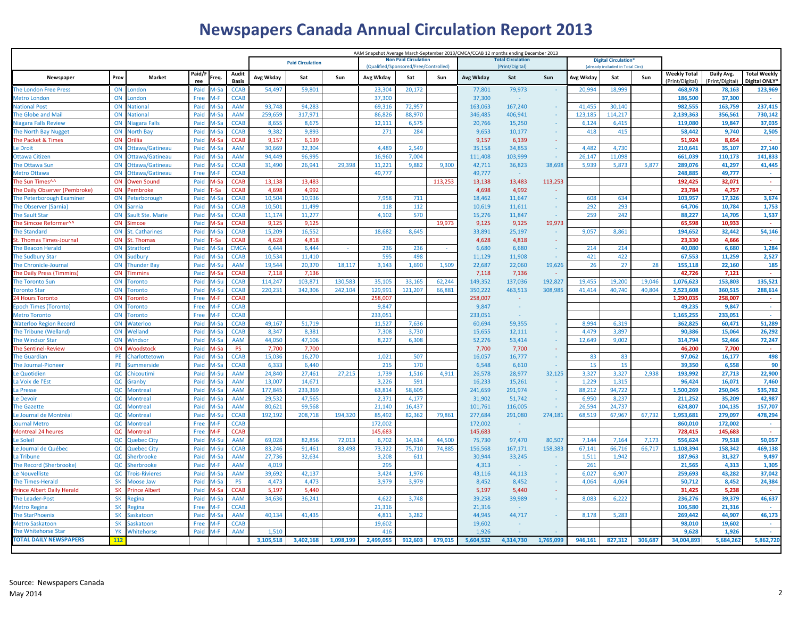# **Newspapers Canada Annual Circulation Report 2013**

|                                            |             |                                    |              |               |                          |                  | <b>Paid Circulation</b> |           |                 | <b>Non Paid Circulation</b>           |         | AAM Snapshot Average March-September 2013/CMCA/CCAB 12 months ending December 2013 | <b>Total Circulation</b> |           | <b>Digital Circulation'</b> |                                  |         |                     |                   |                     |
|--------------------------------------------|-------------|------------------------------------|--------------|---------------|--------------------------|------------------|-------------------------|-----------|-----------------|---------------------------------------|---------|------------------------------------------------------------------------------------|--------------------------|-----------|-----------------------------|----------------------------------|---------|---------------------|-------------------|---------------------|
|                                            |             |                                    | Paid/F       |               | Audit                    |                  |                         |           |                 | (Qualified/Sponsored/Free/Controlled) |         |                                                                                    | (Print/Digital)          |           |                             | (already included in Total Circ) |         | <b>Weekly Total</b> | Daily Avg.        | <b>Total Weekly</b> |
| Newspaper                                  | Prov        | Market                             | ree          | req.          | <b>Basis</b>             | Avg Wkday        | Sat                     | Sun       | Avg Wkday       | Sat                                   | Sun     | Avg Wkday                                                                          | Sat                      | Sun       | Avg Wkday                   | Sat                              | Sun     | (Print/Digital)     | (Print/Digital)   | Digital ONLY*       |
| The London Free Press                      | ON          | ondon                              | Paid         | 1-Sa          | <b>CCAB</b>              | 54,497           | 59,801                  |           | 23,304          | 20,172                                |         | 77,801                                                                             | 79,973                   |           | 20,994                      | 18,999                           |         | 468,978             | 78,163            | 123,969             |
| <b>Metro London</b>                        | ON          | ondon                              | Free         | $M-F$         | <b>CCAB</b>              |                  |                         |           | 37,300          |                                       |         | 37,300                                                                             |                          |           |                             |                                  |         | 186,500             | 37,300            |                     |
| <b>National Post</b>                       | ON          | <b>Jational</b>                    | Paid         | $M-S\bar{c}$  | <b>AAM</b>               | 93,748           | 94,283                  |           | 69,316          | 72,957                                |         | 163,063                                                                            | 167,240                  |           | 41,455                      | 30,140                           |         | 982,555             | 163,759           | 237,415             |
| The Globe and Mail                         | ON          | <b>Jational</b>                    | Paid         | $M-Sz$        | <b>AAM</b>               | 259,659          | 317,971                 |           | 86,826          | 88,970                                |         | 346,485                                                                            | 406,941                  |           | 123,185                     | 114,217                          |         | 2,139,363           | 356,561           | 730,142             |
| <b>Niagara Falls Review</b>                | ON          | Jiagara Falls                      | Paid         | A-Sa          | <b>CCAB</b>              | 8.655            | 8,675                   |           | 12,111          | 6,575                                 |         | 20,766                                                                             | 15,250                   | $\sim$    | 6,124                       | 6,415                            |         | 119,080             | 19.847            | 37,035              |
| The North Bay Nugget                       | ON          | <b>North Bay</b>                   | Paid         | $A-Sz$        | <b>CCAB</b>              | 9.382            | 9.893                   |           | 271             | 284                                   |         | 9.653                                                                              | 10.177                   |           | 418                         | 415                              |         | 58,442              | 9,740             | 2,505               |
| The Packet & Times                         | ON          | )rillia                            | Paid         |               | <b>CCAB</b>              | 9.157            | 6.139                   |           |                 |                                       |         | 9.157                                                                              | 6.139                    |           |                             |                                  |         | 51.924              | 8.654             |                     |
| Le Droit                                   | ON<br>ON    | Ottawa/Gatineau                    | Paid<br>Paid | $A-S\bar{c}$  | <b>AAM</b><br><b>AAM</b> | 30,669<br>94,449 | 32,304<br>96,995        |           | 4,489<br>16,960 | 2,549<br>7,004                        |         | 35,158<br>111,408                                                                  | 34,853<br>103,999        |           | 4,482<br>26,147             | 4,730<br>11,098                  |         | 210,641<br>661,039  | 35,107<br>110,173 | 27,140<br>141,833   |
| Ottawa Citizer<br>The Ottawa Sur           | ON          | Ottawa/Gatineau<br>Ottawa/Gatineau | Paid         | ⁄l-Sa<br>1-Sı | <b>CCAB</b>              | 31,490           | 26,941                  | 29,398    | 11,221          | 9,882                                 | 9,300   | 42,711                                                                             | 36,823                   | 38,698    | 5,939                       | 5,873                            | 5,877   | 289,076             | 41,297            | 41,445              |
| <b>Metro Ottawa</b>                        | ON          | Ottawa/Gatineau                    | Free         | A-F           | <b>CCAB</b>              |                  |                         |           | 49,777          |                                       |         | 49,777                                                                             |                          |           |                             |                                  |         | 248.885             | 49,777            | $\sim$              |
| The Sun Times^^                            | ON          | <b>Dwen Sound</b>                  | Paid         |               | <b>CCAB</b>              | 13,138           | 13,483                  |           |                 |                                       | 113,253 | 13,138                                                                             | 13,483                   | 113,253   |                             |                                  |         | 192.425             | 32,071            | $\sim$              |
| The Daily Observer (Pembroke)              | ON          | Pembroke                           | Paid         | -Sa           | <b>CCAB</b>              | 4.698            | 4.992                   |           |                 |                                       |         | 4,698                                                                              | 4,992                    |           |                             |                                  |         | 23.784              | 4,757             | $\sim$              |
| The Peterborough Examiner                  | ON          | Peterborough                       | Paid         | $A-S$         | <b>CCAB</b>              | 10,504           | 10,936                  |           | 7,958           | 711                                   |         | 18,462                                                                             | 11,647                   |           | 608                         | 634                              |         | 103,957             | 17,326            | 3,674               |
| <b>The Observer (Sarnia)</b>               | ON          | arnia                              | Paid         | l-Sa          | <b>CCAB</b>              | 10,501           | 11,499                  |           | 118             | 112                                   |         | 10,619                                                                             | 11,611                   |           | 292                         | 293                              |         | 64,706              | 10,784            | 1,753               |
| <b>The Sault Star</b>                      | ON          | Sault Ste. Marie                   | Paid         | 1-Si          | <b>CCAB</b>              | 11,174           | 11,277                  |           | 4,102           | 570                                   |         | 15,276                                                                             | 11,847                   |           | 259                         | 242                              |         | 88,227              | 14,705            | 1,537               |
| The Simcoe Reformer^^                      | ON          | imcoe                              | Paid         |               | <b>CCAB</b>              | 9,125            | 9,125                   |           |                 |                                       | 19,973  | 9,125                                                                              | 9,125                    | 19,973    |                             |                                  |         | 65,598              | 10.933            |                     |
| <b>The Standard</b>                        | ON          | St. Catharines                     | Paid         | l-Sa          | <b>CCAB</b>              | 15,209           | 16.552                  |           | 18.682          | 8.645                                 |         | 33,891                                                                             | 25,197                   |           | 9.057                       | 8.861                            |         | 194.652             | 32.442            | 54,146              |
| St. Thomas Times-Journal                   | ON          | . Thomas                           | Paid         |               | <b>CCAB</b>              | 4,628            | 4,818                   |           |                 |                                       |         | 4,628                                                                              | 4,818                    |           |                             |                                  |         | 23.330              | 4,666             |                     |
| The Beacon Herald                          | ON          | tratford                           | Paid         | 1-Sa          | <b>CMCA</b>              | 6.444            | 6.444                   |           | 236             | 236                                   |         | 6.680                                                                              | 6.680                    |           | 214                         | 214                              |         | 40.080              | 6.680             | 1.284               |
| <b>The Sudbury Star</b>                    | ON          | sudbury                            | Paid         | 1-Sa          | <b>CCAB</b>              | 10,534           | 11,410                  |           | 595             | 498                                   |         | 11,129                                                                             | 11,908                   |           | 421                         | 422                              |         | 67,553              | 11,259            | 2,527               |
| The Chronicle-Journal                      | ON          | <b>Thunder Bay</b>                 | Paid         | ⁄l-Su         | <b>AAM</b>               | 19,544           | 20,370                  | 18,117    | 3,143           | 1,690                                 | 1,509   | 22,687                                                                             | 22,060                   | 19,626    | 26                          | 27                               | 28      | 155,118             | 22,160            | 185                 |
| The Daily Press (Timmins)                  | ON          | immins                             | Paid         | 1-Sa          | <b>CCAB</b>              | 7,118            | 7,136                   |           |                 |                                       |         | 7,118                                                                              | 7,136                    |           |                             |                                  |         | 42,726              | 7,121             |                     |
| <b>The Toronto Sun</b>                     | ON          | oronto                             | Paid         | M-Su          | <b>CCAB</b>              | 114,247          | 103,871                 | 130,583   | 35,105          | 33,165                                | 62,244  | 149,352                                                                            | 137,036                  | 192,827   | 19,455                      | 19,200                           | 19,046  | 1,076,623           | 153,803           | 135,521             |
| <b>Toronto Star</b>                        | ON          | oronto                             | Paid         | 1-Su          | <b>CCAB</b>              | 220,231          | 342,306                 | 242,104   | 129,991         | 121,207                               | 66,881  | 350,222                                                                            | 463,513                  | 308,985   | 41,414                      | 40,740                           | 40,804  | 2,523,608           | 360,515           | 288,614             |
| <b>24 Hours Toronto</b>                    | ON          | oronto                             | Free         | A-F           | <b>CCAB</b>              |                  |                         |           | 258.007         |                                       |         | 258,007                                                                            |                          |           |                             |                                  |         | 1.290.035           | 258.007           | $\sim$              |
| Epoch Times (Toronto)                      | ON          | oronto                             | Free         | ∕l-F          | <b>CCAB</b>              |                  |                         |           | 9,847           |                                       |         | 9,847                                                                              |                          |           |                             |                                  |         | 49,235              | 9,847             | $\sim$              |
| <b>Metro Toronto</b>                       | ON          | oronto                             | Free         | M-F           | <b>CCAB</b>              |                  |                         |           | 233,051         |                                       |         | 233,051                                                                            |                          |           |                             |                                  |         | 1,165,255           | 233,051           | $\sim$              |
| <b>Waterloo Region Record</b>              | ON          | Waterloo                           | Paid         |               | <b>CCAB</b>              | 49,167           | 51,719                  |           | 11,527          | 7,636                                 |         | 60,694                                                                             | 59,355                   |           | 8,994                       | 6,319                            |         | 362,825             | 60,471            | 51,289              |
| The Tribune (Welland)                      | ON          | Welland                            | Paid         | 1-Sa          | <b>CCAB</b>              | 8,347            | 8,381                   |           | 7,308           | 3,730                                 |         | 15,655                                                                             | 12,111                   |           | 4,479                       | 3,897                            |         | 90,386              | 15,064            | 26,292              |
| <b>The Windsor Star</b>                    | ON          | Windsor                            | Paid         | 1-Sa          | <b>AAM</b>               | 44,050           | 47,106                  |           | 8,227           | 6,308                                 |         | 52,276                                                                             | 53,414                   |           | 12,649                      | 9,002                            |         | 314,794             | 52,466            | 72,247              |
| <b>The Sentinel-Review</b>                 | ON<br>PE    | Woodstock                          | Paid         | 1-Sa          | <b>PS</b><br><b>CCAB</b> | 7,700<br>15,036  | 7,700                   |           | 1,021           | 507                                   |         | 7,700                                                                              | 7,700                    | $\sim$    |                             | 83                               |         | 46,200              | 7,700             | $\sim$<br>498       |
| <b>The Guardian</b>                        | PE          | Charlottetown                      | Paid         | 1-Sa<br>A-Sa  | <b>CCAB</b>              | 6,333            | 16,270<br>6,440         |           | 215             | 170                                   |         | 16,057<br>6,548                                                                    | 16,777<br>6,610          |           | 83<br>15                    | 15                               |         | 97,062<br>39,350    | 16,177<br>6,558   | 90                  |
| The Journal-Pioneer<br><b>Le Quotidien</b> | $_{\alpha}$ | Summerside<br>Chicoutimi           | Paid<br>Paid | ⁄l-Su         | <b>AAM</b>               | 24,840           | 27,461                  | 27,215    | 1,739           | 1,516                                 | 4,911   | 26,578                                                                             | 28,977                   | 32,125    | 3,327                       | 3,327                            | 2,938   | 193,992             | 27,713            | 22,900              |
| La Voix de l'Est                           | QC          | iranby                             | Paid         | M-Sa          | <b>AAM</b>               | 13,007           | 14,671                  |           | 3,226           | 591                                   |         | 16,233                                                                             | 15,261                   |           | 1,229                       | 1,315                            |         | 96,424              | 16,071            | 7,460               |
| La Presse                                  | $_{\alpha}$ | Montreal                           | Paid         | M-Sa          | <b>AAM</b>               | 177,845          | 233,369                 |           | 63,814          | 58,605                                |         | 241,659                                                                            | 291,974                  | n.        | 88,212                      | 94,722                           |         | 1,500,269           | 250,045           | 535,782             |
| e Devoir.                                  | <b>QC</b>   | <b>Montreal</b>                    | Paid         | A-Sa          | <b>AAM</b>               | 29,532           | 47,565                  |           | 2,371           | 4,177                                 |         | 31,902                                                                             | 51,742                   | n.        | 6,950                       | 8,237                            |         | 211,252             | 35,209            | 42,987              |
| <b>The Gazette</b>                         | QC          | <b>Aontreal</b>                    | Paid         | 1-Sa          | AAM                      | 80,621           | 99,568                  |           | 21,140          | 16,437                                |         | 101,761                                                                            | 116,005                  |           | 26,594                      | 24,737                           |         | 624,807             | 104,135           | 157,707             |
| Le Journal de Montréal                     | QC          | <b>Montreal</b>                    | Paid         | M-Su          | <b>CCAB</b>              | 192,192          | 208,718                 | 194,320   | 85,492          | 82,362                                | 79,861  | 277,684                                                                            | 291,080                  | 274,181   | 68,519                      | 67,967                           | 67,732  | 1,953,681           | 279,097           | 478,294             |
| Journal Metro                              | QC          | Montreal                           | Free         | M-F           | <b>CCAB</b>              |                  |                         |           | 172,002         |                                       |         | 172,002                                                                            |                          |           |                             |                                  |         | 860,010             | 172,002           |                     |
| <b>Montreal 24 heures</b>                  | $_{\alpha}$ | Montreal                           | Free         | M-F           | <b>CCAB</b>              |                  |                         |           | 145,683         |                                       |         | 145,683                                                                            | n a                      |           |                             |                                  |         | 728,415             | 145,683           | $\sim$              |
| e Soleil                                   | OC          | <b>Quebec City</b>                 | Paid         | 1-Su          | <b>AAM</b>               | 69,028           | 82.856                  | 72,013    | 6,702           | 14,614                                | 44,500  | 75,730                                                                             | 97,470                   | 80,507    | 7,144                       | 7,164                            | 7,173   | 556,624             | 79,518            | 50,057              |
| e Journal de Québec                        | OC          | Quebec City                        | Paid         | M-Su          | <b>CCAB</b>              | 83.246           | 91.461                  | 83,498    | 73,322          | 75,710                                | 74,885  | 156,568                                                                            | 167,171                  | 158,383   | 67,141                      | 66,716                           | 66,717  | 1,108,394           | 158,342           | 469,138             |
| La Tribune                                 | OC          | herbrooke                          | Paid         | 1-Sa          | <b>AAM</b>               | 27,736           | 32.634                  |           | 3,208           | 611                                   |         | 30.944                                                                             | 33,245                   |           | 1,511                       | 1.942                            |         | 187,963             | 31,327            | 9,497               |
| The Record (Sherbrooke)                    | OC          | Sherbrooke                         | Paid         | $M-F$         | <b>AAM</b>               | 4,019            |                         |           | 295             |                                       |         | 4,313                                                                              | $\sim$                   |           | 261                         |                                  |         | 21,565              | 4,313             | 1,305               |
| Le Nouvelliste                             | $_{\alpha}$ | rois-Rivieres                      | Paid         | A-Sa          | <b>AAM</b>               | 39,692           | 42,137                  |           | 3,424           | 1,976                                 |         | 43,116                                                                             | 44,113                   |           | 6,027                       | 6,907                            |         | 259,693             | 43,282            | 37,042              |
| <b>The Times-Herald</b>                    | <b>SK</b>   | <b>Moose Jaw</b>                   | Paid         | A-Sa          | <b>PS</b>                | 4,473            | 4.473                   |           | 3,979           | 3,979                                 |         | 8,452                                                                              | 8,452                    |           | 4,064                       | 4,064                            |         | 50,712              | 8,452             | 24,384              |
| <b>Prince Albert Daily Herald</b>          | <b>SK</b>   | rince Albert                       | Paid         | A-Sa          | <b>CCAB</b>              | 5,197            | 5.440                   |           |                 |                                       |         | 5,197                                                                              | 5,440                    |           |                             |                                  |         | 31.425              | 5,238             | - 1                 |
| The Leader-Post                            | <b>SK</b>   | tegina                             | Paid         | $A-Sz$        | <b>AAM</b>               | 34,636           | 36,241                  |           | 4,622           | 3,748                                 |         | 39,258                                                                             | 39,989                   |           | 8,083                       | 6,222                            |         | 236,276             | 39,379            | 46,637              |
| <b>Metro Regina</b>                        | <b>SK</b>   | egina                              | Free         | $A-F$         | <b>CCAB</b>              |                  |                         |           | 21.316          |                                       |         | 21.316                                                                             |                          |           |                             |                                  |         | 106.580             | 21.316            | n.                  |
| <b>The StarPhoenix</b>                     | SK          | iaskatoon                          | Paid         | $A-S\bar{c}$  | <b>AAM</b>               | 40,134           | 41,435                  |           | 4,811           | 3,282                                 |         | 44,945                                                                             | 44,717                   |           | 8,178                       | 5,283                            |         | 269,442             | 44,907            | 46,173              |
| <b>Metro Saskatoon</b>                     | <b>SK</b>   | iaskatoon                          | Free         | $M-F$         | <b>CCAB</b>              |                  |                         |           | 19,602          |                                       |         | 19.602                                                                             |                          |           |                             |                                  |         | 98,010              | 19,602            |                     |
| The Whitehorse Star                        | YK          | Whitehorse                         | Paid         | M-F           | <b>AAM</b>               | 1,510            |                         |           | 416             |                                       |         | 1,926                                                                              |                          |           |                             |                                  |         | 9,628               | 1,926             | A.                  |
| <b>TOTAL DAILY NEWSPAPERS</b>              | 112         |                                    |              |               |                          | 3,105,518        | 3,402,168               | 1,098,199 | 2,499,055       | 912,603                               | 679,015 | 5,604,532                                                                          | 4,314,730                | 1,765,099 | 946.161                     | 827,312                          | 306.687 | 34.004.893          | 5.684.26          | 5,862,720           |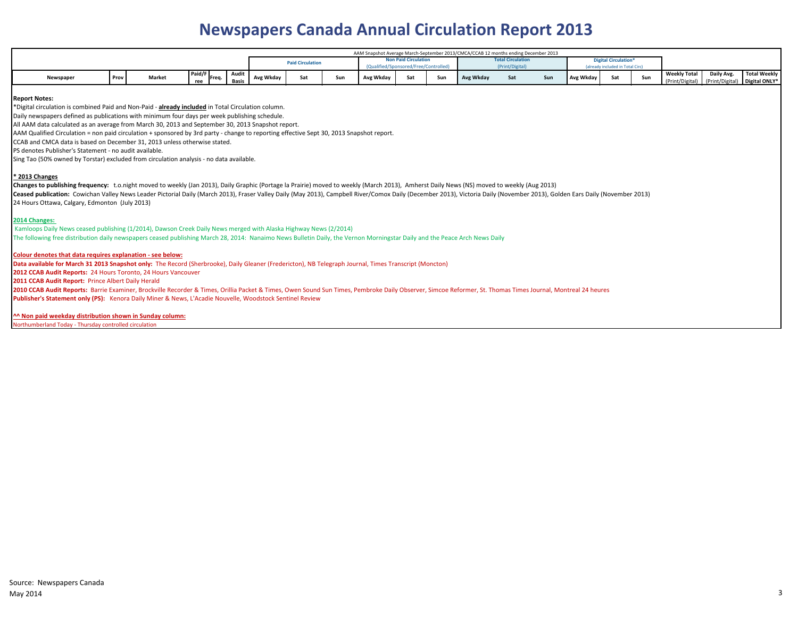# **Newspapers Canada Annual Circulation Report 2013**

| AAM Snapshot Average March-September 2013/CMCA/CCAB 12 months ending December 2013 |      |        |                 |  |       |           |                         |     |           |                             |                                    |           |                          |     |           |                                  |     |                     |            |                               |
|------------------------------------------------------------------------------------|------|--------|-----------------|--|-------|-----------|-------------------------|-----|-----------|-----------------------------|------------------------------------|-----------|--------------------------|-----|-----------|----------------------------------|-----|---------------------|------------|-------------------------------|
|                                                                                    |      |        |                 |  |       |           | <b>Paid Circulation</b> |     |           | <b>Non Paid Circulation</b> |                                    |           | <b>Total Circulation</b> |     |           | <b>Digital Circulation*</b>      |     |                     |            |                               |
|                                                                                    |      |        |                 |  |       |           |                         |     |           |                             | alified/Sponsored/Free/Controlled\ |           | (Print/Digital)          |     |           | (already included in Total Circ) |     |                     |            |                               |
|                                                                                    |      |        | Paid/F<br>Freq. |  | Audit |           | $S^+$                   |     |           |                             | _ Հար                              | Avg Wkday |                          |     |           |                                  |     | <b>Weekly Total</b> | Daily Avg. | Total Weekly                  |
| Newspaper                                                                          | Prov | Market | ree             |  | Basis | Avg Wkdav | Ja L                    | Sun | Avg Wkday | Sat                         |                                    |           | Sat                      | Sun | Avg Wkday | Sat                              | Sun | (Print/Digital)     |            | (Print/Digital) Digital ONLY* |

### **Report Notes:**

\*Digital circulation is combined Paid and Non-Paid - **already included** in Total Circulation column.

Daily newspapers defined as publications with minimum four days per week publishing schedule.

All AAM data calculated as an average from March 30, 2013 and September 30, 2013 Snapshot report.

AAM Qualified Circulation = non paid circulation + sponsored by 3rd party - change to reporting effective Sept 30, 2013 Snapshot report.

CCAB and CMCA data is based on December 31, 2013 unless otherwise stated.

PS denotes Publisher's Statement - no audit available.

Sing Tao (50% owned by Torstar) excluded from circulation analysis - no data available.

### **\* 2013 Changes**

**Changes to publishing frequency:** t.o.night moved to weekly (Jan 2013), Daily Graphic (Portage la Prairie) moved to weekly (March 2013), Amherst Daily News (NS) moved to weekly (Aug 2013)

Ceased publication: Cowichan Valley News Leader Pictorial Daily (March 2013), Fraser Valley Daily (May 2013), Campbell River/Comox Daily (December 2013), Victoria Daily (November 2013), Golden Ears Daily (November 2013) 24 Hours Ottawa, Calgary, Edmonton (July 2013)

### **2014 Changes:**

 Kamloops Daily News ceased publishing (1/2014), Dawson Creek Daily News merged with Alaska Highway News (2/2014) The following free distribution daily newspapers ceased publishing March 28, 2014: Nanaimo News Bulletin Daily, the Vernon Morningstar Daily and the Peace Arch News Daily

### **Colour denotes that data requires explanation - see below:**

**Data available for March 31 2013 Snapshot only:** The Record (Sherbrooke), Daily Gleaner (Fredericton), NB Telegraph Journal, Times Transcript (Moncton)

**2012 CCAB Audit Reports:** 24 Hours Toronto, 24 Hours Vancouver

**2011 CCAB Audit Report:** Prince Albert Daily Herald

**2010 CCAB Audit Reports:** Barrie Examiner, Brockville Recorder & Times, Orillia Packet & Times, Owen Sound Sun Times, Pembroke Daily Observer, Simcoe Reformer, St. Thomas Times Journal, Montreal 24 heures **Publisher's Statement only (PS):** Kenora Daily Miner & News, L'Acadie Nouvelle, Woodstock Sentinel Review

**^^ Non paid weekday distribution shown in Sunday column:**

Iorthumberland Today - Thursday controlled circulation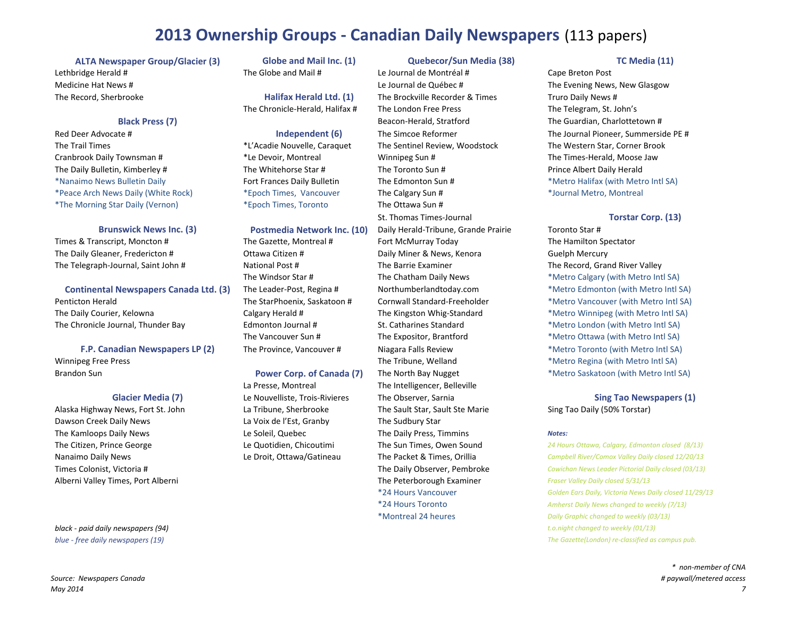## **2013 Ownership Groups ‐ Canadian Daily Newspapers** (113 papers)

**ALTA Newspaper Group/Glacier (3) Globe and Mail Inc. (1) Quebecor/Sun Media (38) TC Media (11)** Lethbridge Herald # The Globe and Mail # Le Journal de Montréal # Cape Breton Post Medicine Hat News # The Record, Sherbrooke

### **Black**

Red Deer Advocate # **The Trail Times** Cranbrook Daily Townsman # The Daily Bulletin, Kimberley # The Whitehorse Star # The Toronto Sun # Prince Albert Daily Herald \*Nanaimo\*Peace Arch\*The Morning Star Daily (Vernon) \*Epoch Times, Toronto The Ottawa Sun #

**Brunswick**

Times &The Daily Gleaner, Fredericton # Ottawa Citizen # Daily Miner & News, Kenora Guelph Mercury The Telegraph‐Journal, Saint John # National Post # The Barrie Examiner The Barrie Examiner The Record, Grand River Valley

**Continental Newspapers Canada Ltd. (3)** 

**Penticton Herald** The Daily Courier, Kelowna The Chronicle Journal, Thunder Bay

### **F.P. Canadian**

**Brandon Sun** 

### **Glacier Media**

Alaska Highway News, Fort St. John **Dawson Creek Daily News** The Kamloops Daily News The Citizen, Prince George Nanaimo Daily News Times Colonist. Victoria # Alberni Valley Times, Port Alberni

The Windsor Star # The ChathamThe Vancouver Sun

La Presse. Montreal La Voix de l'Est, Granby The Sudbury Star

Le Journal de Québec # The Evening News, New Glasgow Record, Sherbrooke **Halifax Herald Ltd. (1)** The Brockville Recorder & Times Truro Daily News # The Chronicle‐Herald, Halifax # The London Free Press The Telegram, St. John's **Press** Beacon-Herald, Stratford The Guardian, Charlottetown # Trail Times \*L'Acadie Nouvelle, Caraquet The Sentinel Review, Woodstock The Western Star, Corner Brook Daily Townsman # \*Le Devoir, Montreal Winnipeg Sun # The Times‐Herald, Moose Jaw \*Epoch Times, Vancouver The Calgary Sun # \* \*Journal Metro, Montreal St. Thomas Times‐Journal **TorstarPostmedia Network Inc. (10)** Daily Herald-Tribune, Grande Prairie Toronto Star # The Gazette, Montreal # Fort McMurray Today The Hamilton Spectator The Intelligencer, Belleville La Tribune, Sherbrooke The Sault Star, Sault Ste Marie Sing Tao Daily (50% Torstar) Le Soleil, Quebec The Daily Press, Timmins *Notes:* **The Peterborough Examiner** *Fraser Valley Daily closed 5/31/13* **\*24 Hours Vancouver** \*24 Hours Toronto\*Montreal 24

**Independent (6)** The Simcoe Reformer The Journal Pioneer, Summerside PE # Fort Frances Daily Bulletin The Edmonton Sun # \*Metro Halifax (with Metro Intl SA)

### **Corp. (13)**

The Chatham Daily News **Example 2** \*Metro Calgary (with Metro Intl SA) **The Leader-Post, Regina # Northumberlandtoday.com \*Metro Edmonton (with Metro Intl SA)** The StarPhoenix, Saskatoon # Cornwall Standard-Freeholder \*Metro Vancouver (with Metro Intl SA) Calgary Herald # The Kingston Whig-Standard \*Metro Winnipeg (with Metro Intl SA) Edmonton Journal # St. Catharines Standard \*Metro London (with Metro Intl SA) The Expositor, Brantford **\*Metro Ottawa** (with Metro Intl SA) **The Province, Vancouver # Niagara Falls Review \*Metro Toronto (with Metro Intl SA)** Winnipeg Free Press **The Tribune, Welland** \*Metro Regina (with Metro Intl SA) **Power Corp. of Canada (7) The North Bay Nugget \*Metro Saskatoon (with Metro Intl SA)** 

**(7)** Le Nouvelliste, Trois‐Rivieres The Observer, Sarnia **Sing Tao Newspapers (1)**

 Citizen, Prince George Le Quotidien, Chicoutimi The Sun Times, Owen Sound *<sup>24</sup> Hours Ottawa, Calgary, Edmonton closed (8/13)* Daily News Le Droit, Ottawa/Gatineau The Packet & Times, Orillia *Campbell River/Comox Valley Daily closed 12/20/13* Colonist, Victoria # The Daily Observer, Pembroke *Cowichan News Leader Pictorial Daily closed (03/13)* Hours Vancouver *Golden Ears Daily, Victoria News Daily closed 11/29/13 Amherst Daily News changed to weekly (7/13) Daily Graphic changed to weekly (03/13) black* - paid daily newspapers (94) *black* - *paid daily newspapers* (94) *a t.o.night changed* to *weekly* (01/13) *blue ‐ free daily newspapers (19) The Gazette(London) re‐classified as campus pub.*

> *\* non‐member of CNA # paywall/metered access*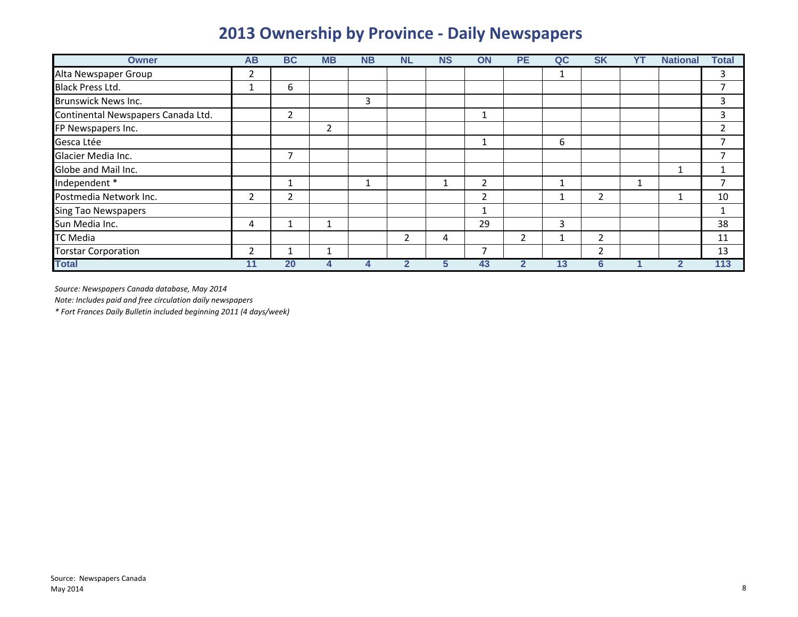# **2013 Ownership by Province ‐ Daily Newspapers**

| <b>Owner</b>                       | <b>AB</b>               | <b>BC</b>      | <b>MB</b> | <b>NB</b> | <b>NL</b> | <b>NS</b> | ON             | <b>PE</b>             | QC | <b>SK</b>     | YT | <b>National</b> | <b>Total</b> |
|------------------------------------|-------------------------|----------------|-----------|-----------|-----------|-----------|----------------|-----------------------|----|---------------|----|-----------------|--------------|
| Alta Newspaper Group               | 2                       |                |           |           |           |           |                |                       |    |               |    |                 | 3            |
| <b>Black Press Ltd.</b>            |                         | 6              |           |           |           |           |                |                       |    |               |    |                 |              |
| <b>Brunswick News Inc.</b>         |                         |                |           | 3         |           |           |                |                       |    |               |    |                 | 3            |
| Continental Newspapers Canada Ltd. |                         | $\overline{2}$ |           |           |           |           | $\mathbf{A}$   |                       |    |               |    |                 | 3            |
| FP Newspapers Inc.                 |                         |                | 2         |           |           |           |                |                       |    |               |    |                 |              |
| Gesca Ltée                         |                         |                |           |           |           |           | 1              |                       | 6  |               |    |                 |              |
| Glacier Media Inc.                 |                         | 7              |           |           |           |           |                |                       |    |               |    |                 |              |
| Globe and Mail Inc.                |                         |                |           |           |           |           |                |                       |    |               |    |                 |              |
| Independent *                      |                         |                |           |           |           |           | $\overline{2}$ |                       |    |               |    |                 |              |
| Postmedia Network Inc.             | $\overline{\mathbf{c}}$ | $\overline{2}$ |           |           |           |           | $\overline{2}$ |                       |    | $\mathfrak z$ |    | л               | 10           |
| <b>Sing Tao Newspapers</b>         |                         |                |           |           |           |           |                |                       |    |               |    |                 | 1            |
| Sun Media Inc.                     | 4                       |                |           |           |           |           | 29             |                       | 3  |               |    |                 | 38           |
| <b>TC Media</b>                    |                         |                |           |           | 2         | 4         |                | $\mathbf{2}^{\prime}$ |    | $\mathfrak z$ |    |                 | 11           |
| <b>Torstar Corporation</b>         | $\overline{2}$          |                |           |           |           |           | $\overline{7}$ |                       |    | 2             |    |                 | 13           |
| <b>Total</b>                       | 11                      | 20             | 4         |           | 2         | 5         | 43             |                       | 13 | 6             |    | $\mathbf{2}$    | 113          |

*Source: Newspapers Canada database, May 2014*

*Note: Includes paid and free circulation daily newspapers*

*\* Fort Frances Daily Bulletin included beginning 2011 (4 days/week)*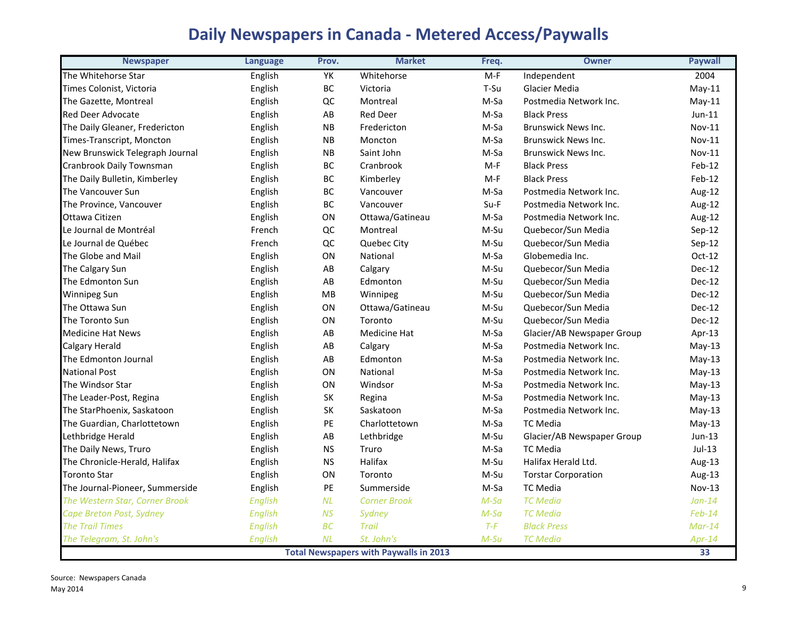# **Daily Newspapers in Canada ‐ Metered Access/Paywalls**

| <b>Newspaper</b>                | <b>Language</b> | Prov.                  | <b>Market</b>                                 | Freq.  | <b>Owner</b>               | <b>Paywall</b> |
|---------------------------------|-----------------|------------------------|-----------------------------------------------|--------|----------------------------|----------------|
| The Whitehorse Star             | English         | YK                     | Whitehorse                                    | $M-F$  | Independent                | 2004           |
| Times Colonist, Victoria        | English         | BC                     | Victoria                                      | T-Su   | Glacier Media              | $May-11$       |
| The Gazette, Montreal           | English         | QC                     | Montreal                                      | M-Sa   | Postmedia Network Inc.     | $May-11$       |
| <b>Red Deer Advocate</b>        | English         | $\mathsf{A}\mathsf{B}$ | <b>Red Deer</b>                               | M-Sa   | <b>Black Press</b>         | $Jun-11$       |
| The Daily Gleaner, Fredericton  | English         | NB                     | Fredericton                                   | M-Sa   | <b>Brunswick News Inc.</b> | <b>Nov-11</b>  |
| Times-Transcript, Moncton       | English         | <b>NB</b>              | Moncton                                       | M-Sa   | <b>Brunswick News Inc.</b> | <b>Nov-11</b>  |
| New Brunswick Telegraph Journal | English         | NB                     | Saint John                                    | M-Sa   | <b>Brunswick News Inc.</b> | <b>Nov-11</b>  |
| Cranbrook Daily Townsman        | English         | BC                     | Cranbrook                                     | $M-F$  | <b>Black Press</b>         | Feb-12         |
| The Daily Bulletin, Kimberley   | English         | BC                     | Kimberley                                     | $M-F$  | <b>Black Press</b>         | Feb-12         |
| The Vancouver Sun               | English         | BC                     | Vancouver                                     | M-Sa   | Postmedia Network Inc.     | Aug-12         |
| The Province, Vancouver         | English         | BC                     | Vancouver                                     | Su-F   | Postmedia Network Inc.     | Aug-12         |
| Ottawa Citizen                  | English         | ON                     | Ottawa/Gatineau                               | M-Sa   | Postmedia Network Inc.     | Aug-12         |
| Le Journal de Montréal          | French          | QC                     | Montreal                                      | M-Su   | Quebecor/Sun Media         | Sep-12         |
| Le Journal de Québec            | French          | QC                     | Quebec City                                   | M-Su   | Quebecor/Sun Media         | Sep-12         |
| The Globe and Mail              | English         | ON                     | National                                      | M-Sa   | Globemedia Inc.            | Oct-12         |
| The Calgary Sun                 | English         | AB                     | Calgary                                       | M-Su   | Quebecor/Sun Media         | <b>Dec-12</b>  |
| The Edmonton Sun                | English         | AB                     | Edmonton                                      | M-Su   | Quebecor/Sun Media         | Dec-12         |
| <b>Winnipeg Sun</b>             | English         | MB                     | Winnipeg                                      | M-Su   | Quebecor/Sun Media         | Dec-12         |
| The Ottawa Sun                  | English         | ON                     | Ottawa/Gatineau                               | M-Su   | Quebecor/Sun Media         | Dec-12         |
| The Toronto Sun                 | English         | ON                     | Toronto                                       | M-Su   | Quebecor/Sun Media         | $Dec-12$       |
| <b>Medicine Hat News</b>        | English         | AB                     | <b>Medicine Hat</b>                           | M-Sa   | Glacier/AB Newspaper Group | Apr-13         |
| <b>Calgary Herald</b>           | English         | AB                     | Calgary                                       | M-Sa   | Postmedia Network Inc.     | $May-13$       |
| The Edmonton Journal            | English         | AB                     | Edmonton                                      | M-Sa   | Postmedia Network Inc.     | $May-13$       |
| <b>National Post</b>            | English         | ON                     | National                                      | M-Sa   | Postmedia Network Inc.     | $May-13$       |
| The Windsor Star                | English         | ON                     | Windsor                                       | M-Sa   | Postmedia Network Inc.     | $May-13$       |
| The Leader-Post, Regina         | English         | SK                     | Regina                                        | M-Sa   | Postmedia Network Inc.     | $May-13$       |
| The StarPhoenix, Saskatoon      | English         | SK                     | Saskatoon                                     | M-Sa   | Postmedia Network Inc.     | $May-13$       |
| The Guardian, Charlottetown     | English         | PE                     | Charlottetown                                 | M-Sa   | <b>TC</b> Media            | $May-13$       |
| Lethbridge Herald               | English         | AB                     | Lethbridge                                    | M-Su   | Glacier/AB Newspaper Group | $Jun-13$       |
| The Daily News, Truro           | English         | <b>NS</b>              | Truro                                         | M-Sa   | <b>TC Media</b>            | $Jul-13$       |
| The Chronicle-Herald, Halifax   | English         | <b>NS</b>              | Halifax                                       | M-Su   | Halifax Herald Ltd.        | Aug-13         |
| <b>Toronto Star</b>             | English         | ON                     | Toronto                                       | M-Su   | <b>Torstar Corporation</b> | Aug-13         |
| The Journal-Pioneer, Summerside | English         | PE                     | Summerside                                    | M-Sa   | <b>TC Media</b>            | <b>Nov-13</b>  |
| The Western Star, Corner Brook  | English         | NL                     | <b>Corner Brook</b>                           | $M-Sa$ | <b>TC</b> Media            | $Jan-14$       |
| Cape Breton Post, Sydney        | <b>English</b>  | <b>NS</b>              | Sydney                                        | $M-Sa$ | <b>TC</b> Media            | $Feb-14$       |
| <b>The Trail Times</b>          | English         | BC                     | <b>Trail</b>                                  | $T-F$  | <b>Black Press</b>         | $Mar-14$       |
| The Telegram, St. John's        | English         | NL                     | St. John's                                    | $M-Su$ | <b>TC</b> Media            | $Apr-14$       |
|                                 |                 |                        | <b>Total Newspapers with Paywalls in 2013</b> |        |                            | 33             |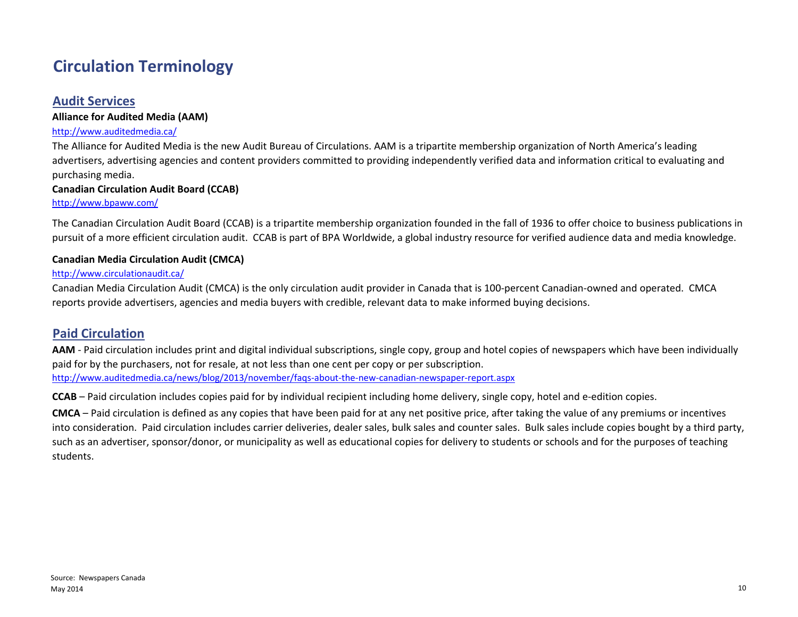# **Circulation Terminology**

## **Audit Services**

## **Alliance for Audited Media (AAM)**

## http://www.auditedmedia.ca/

The Alliance for Audited Media is the new Audit Bureau of Circulations. AAM is <sup>a</sup> tripartite membership organization of North America's leading advertisers, advertising agencies and content providers committed to providing independently verified data and information critical to evaluating and purchasing media.

## **Canadian Circulation Audit Board (CCAB)**

### http://www.bpaww.com/

The Canadian Circulation Audit Board (CCAB) is <sup>a</sup> tripartite membership organization founded in the fall of 1936 to offer choice to business publications in pursuit of <sup>a</sup> more efficient circulation audit. CCAB is part of BPA Worldwide, <sup>a</sup> global industry resource for verified audience data and media knowledge.

## **Canadian Media Circulation Audit (CMCA)**

### http://www.circulationaudit.ca/

Canadian Media Circulation Audit (CMCA) is the only circulation audit provider in Canada that is 100‐percent Canadian‐owned and operated. CMCA reports provide advertisers, agencies and media buyers with credible, relevant data to make informed buying decisions.

## **Paid Circulation**

**AAM** ‐ Paid circulation includes print and digital individual subscriptions, single copy, group and hotel copies of newspapers which have been individually paid for by the purchasers, not for resale, at not less than one cent per copy or per subscription. http://www.auditedmedia.ca/news/blog/2013/november/faqs‐about‐the‐new‐canadian‐newspaper‐report.aspx

**CCAB** – Paid circulation includes copies paid for by individual recipient including home delivery, single copy, hotel and <sup>e</sup>‐edition copies.

**CMCA** – Paid circulation is defined as any copies that have been paid for at any net positive price, after taking the value of any premiums or incentives into consideration. Paid circulation includes carrier deliveries, dealer sales, bulk sales and counter sales. Bulk sales include copies bought by <sup>a</sup> third party, such as an advertiser, sponsor/donor, or municipality as well as educational copies for delivery to students or schools and for the purposes of teaching students.